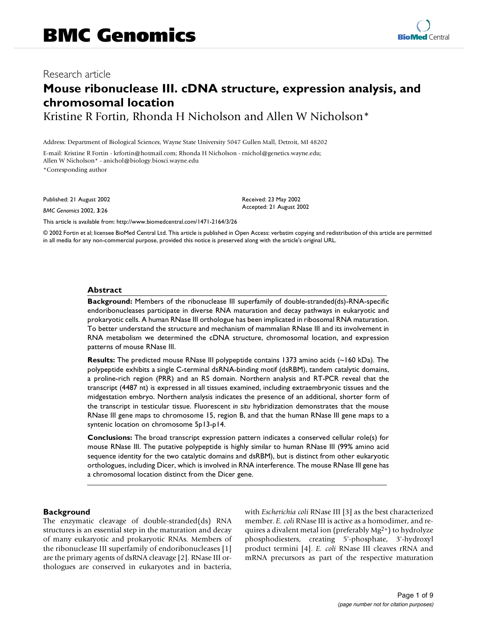# **Mouse ribonuclease III. cDNA structure, expression analysis, and chromosomal location**

Kristine R Fortin, Rhonda H Nicholson and Allen W Nicholson\*

Address: Department of Biological Sciences, Wayne State University 5047 Gullen Mall, Detroit, MI 48202

E-mail: Kristine R Fortin - krfortin@hotmail.com; Rhonda H Nicholson - rnichol@genetics.wayne.edu; Allen W Nicholson\* - anichol@biology.biosci.wayne.edu

\*Corresponding author

Published: 21 August 2002

*BMC Genomics* 2002, **3**:26

Received: 23 May 2002 Accepted: 21 August 2002

[This article is available from: http://www.biomedcentral.com/1471-2164/3/26](http://www.biomedcentral.com/1471-2164/3/26)

© 2002 Fortin et al; licensee BioMed Central Ltd. This article is published in Open Access: verbatim copying and redistribution of this article are permitted in all media for any non-commercial purpose, provided this notice is preserved along with the article's original URL.

#### **Abstract**

**Background:** Members of the ribonuclease III superfamily of double-stranded(ds)-RNA-specific endoribonucleases participate in diverse RNA maturation and decay pathways in eukaryotic and prokaryotic cells. A human RNase III orthologue has been implicated in ribosomal RNA maturation. To better understand the structure and mechanism of mammalian RNase III and its involvement in RNA metabolism we determined the cDNA structure, chromosomal location, and expression patterns of mouse RNase III.

**Results:** The predicted mouse RNase III polypeptide contains 1373 amino acids (~160 kDa). The polypeptide exhibits a single C-terminal dsRNA-binding motif (dsRBM), tandem catalytic domains, a proline-rich region (PRR) and an RS domain. Northern analysis and RT-PCR reveal that the transcript (4487 nt) is expressed in all tissues examined, including extraembryonic tissues and the midgestation embryo. Northern analysis indicates the presence of an additional, shorter form of the transcript in testicular tissue. Fluorescent *in situ* hybridization demonstrates that the mouse RNase III gene maps to chromosome 15, region B, and that the human RNase III gene maps to a syntenic location on chromosome 5p13-p14.

**Conclusions:** The broad transcript expression pattern indicates a conserved cellular role(s) for mouse RNase III. The putative polypeptide is highly similar to human RNase III (99% amino acid sequence identity for the two catalytic domains and dsRBM), but is distinct from other eukaryotic orthologues, including Dicer, which is involved in RNA interference. The mouse RNase III gene has a chromosomal location distinct from the Dicer gene.

## **Background**

The enzymatic cleavage of double-stranded(ds) RNA structures is an essential step in the maturation and decay of many eukaryotic and prokaryotic RNAs. Members of the ribonuclease III superfamily of endoribonucleases [1] are the primary agents of dsRNA cleavage [2]. RNase III orthologues are conserved in eukaryotes and in bacteria,

with *Escherichia coli* RNase III [3] as the best characterized member. *E. coli* RNase III is active as a homodimer, and requires a divalent metal ion (preferably Mg2+) to hydrolyze phosphodiesters, creating 5'-phosphate, 3'-hydroxyl product termini [4]. *E. coli* RNase III cleaves rRNA and mRNA precursors as part of the respective maturation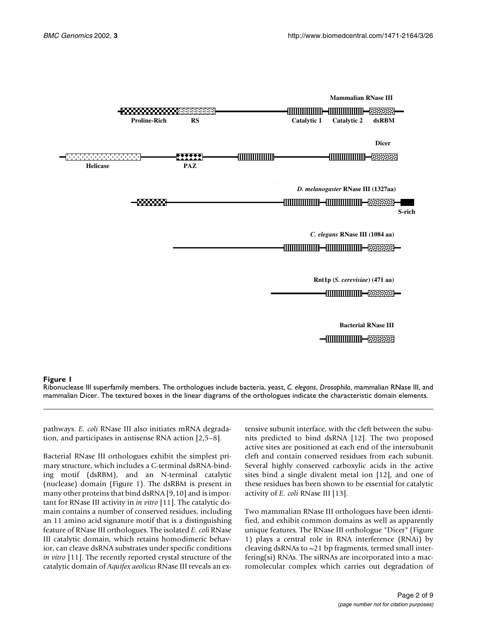

Ribonuclease III superfamily members. The orthologues include bacteria, yeast, *C. elegans*, *Drosophila*, mammalian RNase III, and mammalian Dicer. The textured boxes in the linear diagrams of the orthologues indicate the characteristic domain elements.

pathways. *E. coli* RNase III also initiates mRNA degradation, and participates in antisense RNA action [2,5–8].

Bacterial RNase III orthologues exhibit the simplest primary structure, which includes a C-terminal dsRNA-binding motif (dsRBM), and an N-terminal catalytic (nuclease) domain (Figure 1). The dsRBM is present in many other proteins that bind dsRNA [9,10] and is important for RNase III activity in *in vitro* [11]. The catalytic domain contains a number of conserved residues, including an 11 amino acid signature motif that is a distinguishing feature of RNase III orthologues. The isolated *E. coli* RNase III catalytic domain, which retains homodimeric behavior, can cleave dsRNA substrates under specific conditions *in vitro* [11]. The recently reported crystal structure of the catalytic domain of *Aquifex aeolicus* RNase III reveals an extensive subunit interface, with the cleft between the subunits predicted to bind dsRNA [12]. The two proposed active sites are positioned at each end of the intersubunit cleft and contain conserved residues from each subunit. Several highly conserved carboxylic acids in the active sites bind a single divalent metal ion [12], and one of these residues has been shown to be essential for catalytic activity of *E. coli* RNase III [13].

Two mammalian RNase III orthologues have been identified, and exhibit common domains as well as apparently unique features. The RNase III orthologue "Dicer" (Figure 1) plays a central role in RNA interference (RNAi) by cleaving dsRNAs to ~21 bp fragments, termed small interfering(si) RNAs. The siRNAs are incorporated into a macromolecular complex which carries out degradation of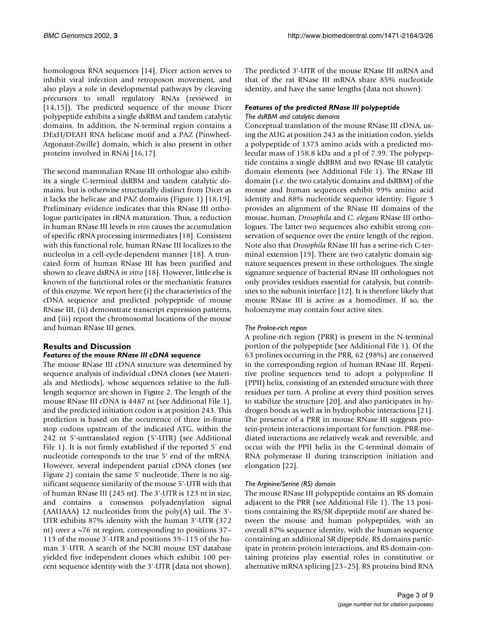homologous RNA sequences [14]. Dicer action serves to inhibit viral infection and retroposon movement, and also plays a role in developmental pathways by cleaving precursors to small regulatory RNAs (reviewed in [14,15]). The predicted sequence of the mouse Dicer polypeptide exhibits a single dsRBM and tandem catalytic domains. In addition, the N-terminal region contains a DExH/DEAH RNA helicase motif and a PAZ (Pinwheel-Argonaut-Zwille) domain, which is also present in other proteins involved in RNAi [16,17].

The second mammalian RNase III orthologue also exhibits a single C-terminal dsRBM and tandem catalytic domains, but is otherwise structurally distinct from Dicer as it lacks the helicase and PAZ domains (Figure 1) [18,19]. Preliminary evidence indicates that this RNase III orthologue participates in rRNA maturation. Thus, a reduction in human RNase III levels *in vivo* causes the accumulation of specific rRNA processing intermediates [18]. Consistent with this functional role, human RNase III localizes to the nucleolus in a cell-cycle-dependent manner [18]. A truncated form of human RNase III has been purified and shown to cleave dsRNA *in vitro* [18]. However, little else is known of the functional roles or the mechanistic features of this enzyme. We report here (i) the characteristics of the cDNA sequence and predicted polypeptide of mouse RNase III, (ii) demonstrate transcript expression patterns, and (iii) report the chromosomal locations of the mouse and human RNase III genes.

## **Results and Discussion** *Features of the mouse RNase III cDNA sequence*

The mouse RNase III cDNA structure was determined by sequence analysis of individual cDNA clones (see Materials and Methods), whose sequences relative to the fulllength sequence are shown in Figure 2. The length of the mouse RNase III cDNA is 4487 nt (see Additional File 1), and the predicted initiation codon is at position 243. This prediction is based on the occurrence of three in-frame stop codons upstream of the indicated ATG, within the 242 nt 5'-untranslated region (5'-UTR) (see Additional File 1). It is not firmly established if the reported 5' end nucleotide corresponds to the true 5' end of the mRNA. However, several independent partial cDNA clones (see Figure 2) contain the same 5' nucleotide. There is no significant sequence similarity of the mouse 5'-UTR with that of human RNase III (245 nt). The 3'-UTR is 123 nt in size, and contains a consensus polyadenylation signal (AAUAAA) 12 nucleotides from the poly $(A)$  tail. The 3'-UTR exhibits 87% identity with the human 3'-UTR (372 nt) over a ~76 nt region, corresponding to positions 37– 113 of the mouse 3'-UTR and positions 39–115 of the human 3'-UTR. A search of the NCBI mouse EST database yielded five independent clones which exhibit 100 percent sequence identity with the 3'-UTR (data not shown). The predicted 3'-UTR of the mouse RNase III mRNA and that of the rat RNase III mRNA share 85% nucleotide identity, and have the same lengths (data not shown).

## *Features of the predicted RNase III polypeptide The dsRBM and catalytic domains*

Conceptual translation of the mouse RNase III cDNA, using the AUG at position 243 as the initiation codon, yields a polypeptide of 1373 amino acids with a predicted molecular mass of 158.8 kDa and a pI of 7.99. The polypeptide contains a single dsRBM and two RNase III catalytic domain elements (see Additional File 1). The RNase III domain (i.e. the two catalytic domains and dsRBM) of the mouse and human sequences exhibit 99% amino acid identity and 88% nucleotide sequence identity. Figure 3 provides an alignment of the RNase III domains of the mouse, human, *Drosophila* and *C. elegans* RNase III orthologues. The latter two sequences also exhibit strong conservation of sequence over the entire length of the region. Note also that *Drosophila* RNase III has a serine-rich C-terminal extension [19]. There are two catalytic domain signature sequences present in these orthologues. The single signature sequence of bacterial RNase III orthologues not only provides residues essential for catalysis, but contributes to the subunit interface [12]. It is therefore likely that mouse RNase III is active as a homodimer. If so, the holoenzyme may contain four active sites.

## *The Proline-rich region*

A proline-rich region (PRR) is present in the N-terminal portion of the polypeptide (see Additional File 1). Of the 63 prolines occurring in the PRR, 62 (98%) are conserved in the corresponding region of human RNase III. Repetitive proline sequences tend to adopt a polyproline II (PPII) helix, consisting of an extended structure with three residues per turn. A proline at every third position serves to stabilize the structure [20], and also participates in hydrogen bonds as well as in hydrophobic interactions [21]. The presence of a PRR in mouse RNase III suggests protein-protein interactions important for function. PRR-mediated interactions are relatively weak and reversible, and occur with the PPII helix in the C-terminal domain of RNA polymerase II during transcription initiation and elongation [22].

## *The Arginine/Serine (RS) domain*

The mouse RNase III polypeptide contains an RS domain adjacent to the PRR (see Additional File 1). The 13 positions containing the RS/SR dipeptide motif are shared between the mouse and human polypeptides, with an overall 87% sequence identity, with the human sequence containing an additional SR dipeptide. RS domains participate in protein-protein interactions, and RS domain-containing proteins play essential roles in constitutive or alternative mRNA splicing [23–25]. RS proteins bind RNA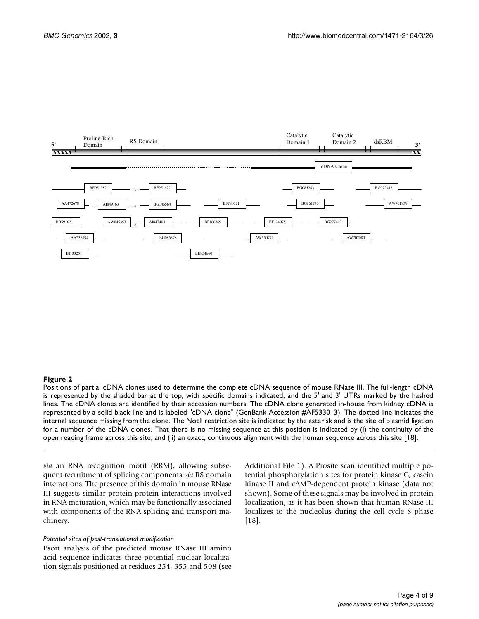

Positions of partial cDNA clones used to determine the complete cDNA sequence of mouse RNase III. The full-length cDNA is represented by the shaded bar at the top, with specific domains indicated, and the 5' and 3' UTRs marked by the hashed lines. The cDNA clones are identified by their accession numbers. The cDNA clone generated in-house from kidney cDNA is represented by a solid black line and is labeled "cDNA clone" (GenBank Accession #AF533013). The dotted line indicates the internal sequence missing from the clone. The Not1 restriction site is indicated by the asterisk and is the site of plasmid ligation for a number of the cDNA clones. That there is no missing sequence at this position is indicated by (i) the continuity of the open reading frame across this site, and (ii) an exact, continuous alignment with the human sequence across this site [18].

*via* an RNA recognition motif (RRM), allowing subsequent recruitment of splicing components *via* RS domain interactions. The presence of this domain in mouse RNase III suggests similar protein-protein interactions involved in RNA maturation, which may be functionally associated with components of the RNA splicing and transport machinery.

#### *Potential sites of post-translational modification*

Psort analysis of the predicted mouse RNase III amino acid sequence indicates three potential nuclear localization signals positioned at residues 254, 355 and 508 (see Additional File 1). A Prosite scan identified multiple potential phosphorylation sites for protein kinase C, casein kinase II and cAMP-dependent protein kinase (data not shown). Some of these signals may be involved in protein localization, as it has been shown that human RNase III localizes to the nucleolus during the cell cycle S phase [18].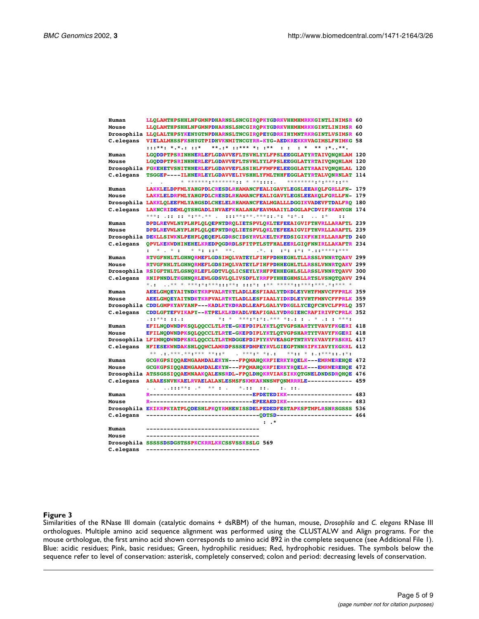| Human     | LLOLAMTHPSHHLNFGMNPDHARNSLSNCGIROPKYGDRKVHHMHMRKKGINTLINIMSR 60                                                                                                        |  |
|-----------|------------------------------------------------------------------------------------------------------------------------------------------------------------------------|--|
| Mouse     | LLOLAMTHPSHHLNFGMNPDHARNSLSNCGIROPKYGDRKVHHMHMRKKGINTLINIMSR 60                                                                                                        |  |
|           | Drosophila LLOLALTHPSYKENYGTNPDHARNSLTNCGIROPEYGDRKIHYMNTRKRGINTLVSIMSR 60                                                                                             |  |
| C.elegans | VIELALMHSSFKSHYGTPIDHVKNMITNCGYRR-KYG-AEDKREKKRVAGIMSLFNIMKG 58                                                                                                        |  |
|           | **.:* ::*** *: :**   : : : *<br>$: : : * * : * * : : : : *$<br>$***$ :***.                                                                                             |  |
| Human     | LGODDPTPSRINHNERLEFLGDAVVEFLTSVHLYYLFPSLEEGGLATYRTAIVONOHLAM 120                                                                                                       |  |
| Mouse     | LGODDPTPSRINHNERLEFLGDAVVEFLTSVHLYYLFPSLEEGGLATYRTAIVONOHLAM 120                                                                                                       |  |
|           | Drosophila FGKEHETVSNITHNERLEFLGDAVVEFLSSIHLFFMFPELEEGGLATYRAAIVONOHLAL 120                                                                                            |  |
| C.elegans | TSGGEP----ILHNERLEYLGDAVVELIVSHHLYFMLTHHFEGGLATYRTALVONRNLAT 114                                                                                                       |  |
|           | * ****** ******** * ** * * * * * * *<br>*****************                                                                                                              |  |
| Human     | LAKKLELDPFMLYAHGPDLCRESDLRHAMANCFEALIGAVYLEGSLEEAKOLFGRLLFN- 179                                                                                                       |  |
| Mouse     | LAKKLELDRFMLYAHGPDLCRESDLRHAMANCFEALIGAVYLEGSLEEAKOLFGRLLFN- 179                                                                                                       |  |
|           | Drosophila LAKKLQLEEFMLYAHGSDLCHELELRHAMANCFEALMGALLLDGGIKVADEVFTDALFRO 180                                                                                            |  |
| C.elegans | LAKNCRIDEMLOYSHGADLINVAEFKHALANAFEAVMAAIYLDGGLAPCDVIFSKAMYGH 174                                                                                                       |  |
|           | $***$ : .:: :: *:**.** .<br>$: : : * * * * * * * * : : * * * * * * * * *$<br>$\ldots$ : $*$<br>$\vdots$                                                                |  |
| Human     | DPDLREVWLNYPLHPLOLOEPNTDROLIETSPVLOKLTEFEEAIGVIFTHVRLLARAFTL 239                                                                                                       |  |
| Mouse     | DPDLREVWLNYPLHPLOLOEPNTDROLIETSPVLOKLTEFEEAIGVIFTHVRLLARAFTL 239                                                                                                       |  |
|           | Drosophila DEKLLSIWKNLPEHPLOEOEPLGDRSCIDSYRVLKELTKFEDSIGIKFKHIRLLARAFTD 240                                                                                            |  |
| C.elegans | OPVLKEKWDHINEHELKREDPOGDRDLSFITPTLSTFHALEERLGIOFNNIRLLAKAFTR 234                                                                                                       |  |
|           | $x^*$ : : :*: :*: * .::**** :***<br>$*$ , $*$ :                                                                                                                        |  |
| Human     | RTVGFNHLTLGHNORMEFLGDSIMOLVATEYLFIHFPDHHEGHLTLLRSSLVNNRTOAKV 299                                                                                                       |  |
| Mouse     | RTVGFNHLTLGHNORMEFLGDSIMOLVATEYLFIHFPDHHEGHLTLLRSSLVNNRTOAKV 299                                                                                                       |  |
|           | Drosophila RSIGFTHLTLGSNORLEFLGDTVLOLICSEYLYRHFPEHHEGHLSLLRSSLVNNRTOAVV 300                                                                                            |  |
| C.elegans | RNIPNNDLTKGHNORLEWLGDSVLOLIVSDFLYRRFPYHHEGHMSLLRTSLVSNOTOAVV 294                                                                                                       |  |
|           |                                                                                                                                                                        |  |
| Human     | AEELGMOEYAITNDKTKRPVALRTKTLADLLESFIAALYTDKDLEYVHTFMNVCFFPRLK 359                                                                                                       |  |
| Mouse     | AEELGMOEYAITNDKTKRPVALRTKTLADLLESFIAALYIDKDLEYVHTFMNVCFFPRLK 359                                                                                                       |  |
|           | Drosophila CDDLGMPKYAVYANP---KADLKTKDRADLLEAFLGALYVDKGLLYCEOFCHVCLFPRLO 357                                                                                            |  |
| C.elegans | CDDLGFTEFVIKAPY--KTPELKLKDKADLVEAFIGALYVDRGIEHCRAFIRIVFCPRLK 352                                                                                                       |  |
|           | *: * ***:*:*:.*** *:.: : . * .: : ***:<br>$.11***111.1$                                                                                                                |  |
| Human     | EFILNQDWNDPKSQLQQCCLTLRTE-GKEPDIPLYKTLQTVGPSHARTYTVAVYFKGERI 418                                                                                                       |  |
| Mouse     | EFILNQDWNDPKSQLQQCCLTLRTE-GKEPDIPLYKTLQTVGPSHARTYTVAVYFKGERI 418                                                                                                       |  |
|           | Drosophila LFIMNODWNDPKSKLOOCCLTLRTMDGGEPDIPYYKVVEASGPTNTRVYKVAVYFRSKRL 417                                                                                            |  |
| C.elegans | HFIESEKWNDAKSHLOOWCLAMRDPSSSEPDMPEYRVLGIEGPTNNRIFKIAVYYKGKRL 412                                                                                                       |  |
|           | $\begin{array}{cccccccccccccc} & \star & \star & \star & \star & \star & \star & \star & \star & \star & \star \end{array}$<br>$x * z : x : z : x * x * z : z : z * z$ |  |
| Human     | GCGKGPSIQQAEMGAAMDALEKYN---FPQMAHQKRFIERKYRQELK---EMRWEREHQE 472                                                                                                       |  |
| Mouse     | GCGKGPSIQQAEMGAAMDALEKYN---FPQMAHQKRFIERKYRQELK---EMRWEREHQE 472                                                                                                       |  |
|           | Drosophila ATSSGSSIQQAEMNAAKQALENSRDL-FPQLDHQKRVIAKSIKKQTGNELDNDSDRQHQE 476                                                                                            |  |
| C.elegans | ASAAESNVHKAELRVAELALANLESMSFSKMKAKNNSWFONMRRRLE------------ 459                                                                                                        |  |
|           | $*$ .::<br>$: :$ .<br>$\cdots$ $\cdots$                                                                                                                                |  |
| Human     |                                                                                                                                                                        |  |
| Mouse     | R--------------------------------EPEEAEDIKK------------------               483                                                                                        |  |
|           | Drosophila EKIKRPKYATPLODESHLPKOYRMHENISSDELPEDEDFESTAPKSPTMPLRSNRSGSSS 536                                                                                            |  |
| C.elegans |                                                                                                                                                                        |  |
|           | $:$ $\cdot$ $*$                                                                                                                                                        |  |
| Human     |                                                                                                                                                                        |  |
| Mouse     |                                                                                                                                                                        |  |
|           | Drosophila SSSSSDSDGSTSSPKCKRRLKKCSSVSSKSSLG 569                                                                                                                       |  |
| C.elegans |                                                                                                                                                                        |  |

Similarities of the RNase III domain (catalytic domains + dsRBM) of the human, mouse, *Drosophila* and *C. elegans* RNase III orthologues. Multiple amino acid sequence alignment was performed using the CLUSTALW and Align programs. For the mouse orthologue, the first amino acid shown corresponds to amino acid 892 in the complete sequence (see Additional File 1). Blue: acidic residues; Pink, basic residues; Green, hydrophilic residues; Red, hydrophobic residues. The symbols below the sequence refer to level of conservation: asterisk, completely conserved; colon and period: decreasing levels of conservation.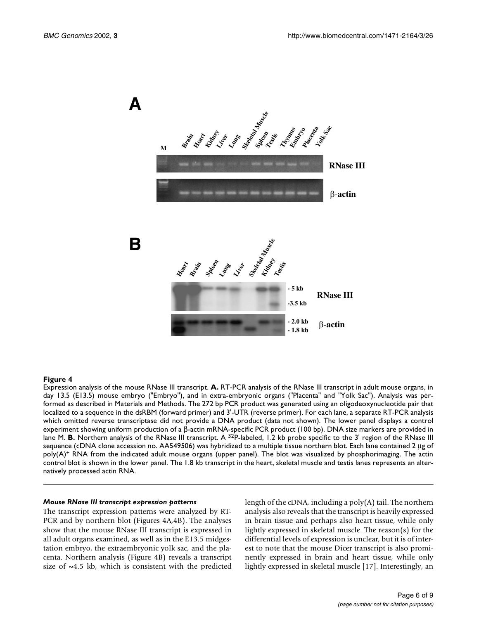

Expression analysis of the mouse RNase III transcript. **A.** RT-PCR analysis of the RNase III transcript in adult mouse organs, in day 13.5 (E13.5) mouse embryo ("Embryo"), and in extra-embryonic organs ("Placenta" and "Yolk Sac"). Analysis was performed as described in Materials and Methods. The 272 bp PCR product was generated using an oligodeoxynucleotide pair that localized to a sequence in the dsRBM (forward primer) and 3'-UTR (reverse primer). For each lane, a separate RT-PCR analysis which omitted reverse transcriptase did not provide a DNA product (data not shown). The lower panel displays a control experiment showing uniform production of a β-actin mRNA-specific PCR product (100 bp). DNA size markers are provided in lane M. **B.** Northern analysis of the RNase III transcript. A <sup>32</sup>P-labeled, 1.2 kb probe specific to the 3' region of the RNase III sequence (cDNA clone accession no. AA549506) was hybridized to a multiple tissue northern blot. Each lane contained 2 µg of poly(A)+ RNA from the indicated adult mouse organs (upper panel). The blot was visualized by phosphorimaging. The actin control blot is shown in the lower panel. The 1.8 kb transcript in the heart, skeletal muscle and testis lanes represents an alternatively processed actin RNA.

#### *Mouse RNase III transcript expression patterns*

The transcript expression patterns were analyzed by RT-PCR and by northern blot (Figures 4A,4B). The analyses show that the mouse RNase III transcript is expressed in all adult organs examined, as well as in the E13.5 midgestation embryo, the extraembryonic yolk sac, and the placenta. Northern analysis (Figure 4B) reveals a transcript size of  $\sim$ 4.5 kb, which is consistent with the predicted length of the cDNA, including a poly(A) tail. The northern analysis also reveals that the transcript is heavily expressed in brain tissue and perhaps also heart tissue, while only lightly expressed in skeletal muscle. The reason(s) for the differential levels of expression is unclear, but it is of interest to note that the mouse Dicer transcript is also prominently expressed in brain and heart tissue, while only lightly expressed in skeletal muscle [17]. Interestingly, an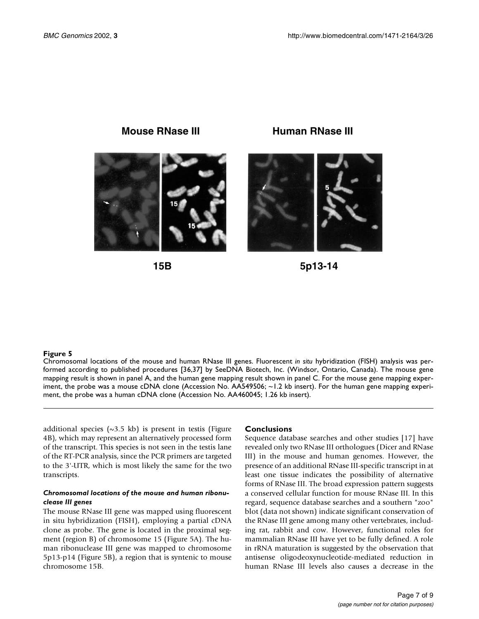

**15B**

**5p13-14**

#### **Figure 5**

Chromosomal locations of the mouse and human RNase III genes. Fluorescent *in situ* hybridization (FISH) analysis was performed according to published procedures [36,37] by SeeDNA Biotech, Inc. (Windsor, Ontario, Canada). The mouse gene mapping result is shown in panel A, and the human gene mapping result shown in panel C. For the mouse gene mapping experiment, the probe was a mouse cDNA clone (Accession No. AA549506; ~1.2 kb insert). For the human gene mapping experiment, the probe was a human cDNA clone (Accession No. AA460045; 1.26 kb insert).

additional species  $(\sim 3.5 \text{ kb})$  is present in testis (Figure 4B), which may represent an alternatively processed form of the transcript. This species is not seen in the testis lane of the RT-PCR analysis, since the PCR primers are targeted to the 3'-UTR, which is most likely the same for the two transcripts.

#### *Chromosomal locations of the mouse and human ribonuclease III genes*

The mouse RNase III gene was mapped using fluorescent in situ hybridization (FISH), employing a partial cDNA clone as probe. The gene is located in the proximal segment (region B) of chromosome 15 (Figure 5A). The human ribonuclease III gene was mapped to chromosome 5p13-p14 (Figure 5B), a region that is syntenic to mouse chromosome 15B.

#### **Conclusions**

Sequence database searches and other studies [17] have revealed only two RNase III orthologues (Dicer and RNase III) in the mouse and human genomes. However, the presence of an additional RNase III-specific transcript in at least one tissue indicates the possibility of alternative forms of RNase III. The broad expression pattern suggests a conserved cellular function for mouse RNase III. In this regard, sequence database searches and a southern "zoo" blot (data not shown) indicate significant conservation of the RNase III gene among many other vertebrates, including rat, rabbit and cow. However, functional roles for mammalian RNase III have yet to be fully defined. A role in rRNA maturation is suggested by the observation that antisense oligodeoxynucleotide-mediated reduction in human RNase III levels also causes a decrease in the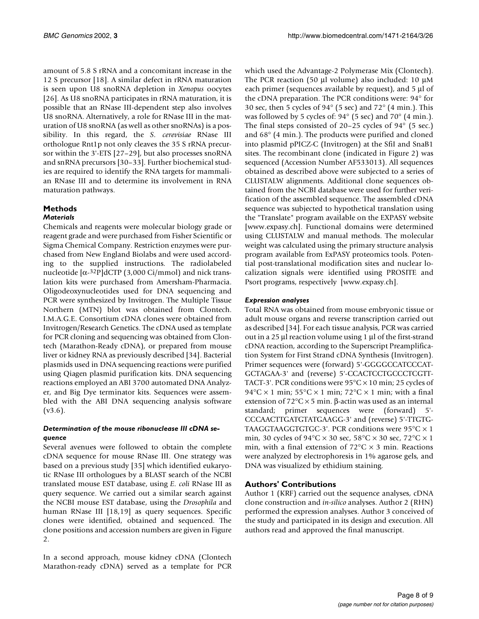amount of 5.8 S rRNA and a concomitant increase in the 12 S precursor [18]. A similar defect in rRNA maturation is seen upon U8 snoRNA depletion in *Xenopus* oocytes [26]. As U8 snoRNA participates in rRNA maturation, it is possible that an RNase III-dependent step also involves U8 snoRNA. Alternatively, a role for RNase III in the maturation of U8 snoRNA (as well as other snoRNAs) is a possibility. In this regard, the *S. cerevisiae* RNase III orthologue Rnt1p not only cleaves the 35 S rRNA precursor within the 3'-ETS [27–29], but also processes snoRNA and snRNA precursors [30–33]. Further biochemical studies are required to identify the RNA targets for mammalian RNase III and to determine its involvement in RNA maturation pathways.

## **Methods**

## *Materials*

Chemicals and reagents were molecular biology grade or reagent grade and were purchased from Fisher Scientific or Sigma Chemical Company. Restriction enzymes were purchased from New England Biolabs and were used according to the supplied instructions. The radiolabeled nucleotide  $[α<sup>32</sup>P]$ dCTP (3,000 Ci/mmol) and nick translation kits were purchased from Amersham-Pharmacia. Oligodeoxynucleotides used for DNA sequencing and PCR were synthesized by Invitrogen. The Multiple Tissue Northern (MTN) blot was obtained from Clontech. I.M.A.G.E. Consortium cDNA clones were obtained from Invitrogen/Research Genetics. The cDNA used as template for PCR cloning and sequencing was obtained from Clontech (Marathon-Ready cDNA), or prepared from mouse liver or kidney RNA as previously described [34]. Bacterial plasmids used in DNA sequencing reactions were purified using Qiagen plasmid purification kits. DNA sequencing reactions employed an ABI 3700 automated DNA Analyzer, and Big Dye terminator kits. Sequences were assembled with the ABI DNA sequencing analysis software  $(v3.6)$ .

## *Determination of the mouse ribonuclease III cDNA sequence*

Several avenues were followed to obtain the complete cDNA sequence for mouse RNase III. One strategy was based on a previous study [35] which identified eukaryotic RNase III orthologues by a BLAST search of the NCBI translated mouse EST database, using *E. coli* RNase III as query sequence. We carried out a similar search against the NCBI mouse EST database, using the *Drosophila* and human RNase III [18,19] as query sequences. Specific clones were identified, obtained and sequenced. The clone positions and accession numbers are given in Figure 2.

In a second approach, mouse kidney cDNA (Clontech Marathon-ready cDNA) served as a template for PCR which used the Advantage-2 Polymerase Mix (Clontech). The PCR reaction (50 µl volume) also included: 10 µM each primer (sequences available by request), and 5 µl of the cDNA preparation. The PCR conditions were: 94° for 30 sec, then 5 cycles of  $94^{\circ}$  (5 sec) and  $72^{\circ}$  (4 min.). This was followed by 5 cycles of: 94° (5 sec) and 70° (4 min.). The final steps consisted of 20–25 cycles of 94° (5 sec.) and 68° [\(4 min.\). The products were purified and cloned](www.expasy.ch) into plasmid pPICZ-C (Invitrogen) at the SfiI and SnaB1 sites. The recombinant clone (indicated in Figure 2) was sequenced (Accession Number AF533013). All sequences obtained as described above were subjected to a series of CLUSTALW alignments. Additional clone sequences obtained from the NCBI database were used for further verification of the assembled sequence. The assembled cDNA sequence was subjected to hypothetical translation using [the "Translate" program available on the EXPASY website](www.expasy.ch) [www.expasy.ch]. Functional domains were determined using CLUSTALW and manual methods. The molecular weight was calculated using the primary structure analysis program available from ExPASY proteomics tools. Potential post-translational modification sites and nuclear localization signals were identified using PROSITE and [Psort programs, respectively \[www.expasy.ch\].](www.expasy.ch)

## *Expression analyses*

Total RNA was obtained from mouse embryonic tissue or adult mouse organs and reverse transcription carried out as described [34]. For each tissue analysis, PCR was carried out in a 25 µl reaction volume using 1 µl of the first-strand cDNA reaction, according to the Superscript Preamplification System for First Strand cDNA Synthesis (Invitrogen). Primer sequences were (forward) 5'-GGGGCCATCCCAT-GCTAGAA-3' and (reverse) 5'-CCACTCCTGCCCTCGTT-TACT-3'. PCR conditions were  $95^{\circ}$ C × 10 min; 25 cycles of 94°C  $\times$  1 min; 55°C  $\times$  1 min; 72°C  $\times$  1 min; with a final extension of  $72^{\circ}$ C  $\times$  5 min. β-actin was used as an internal standard; primer sequences were (forward) 5'- CCCAACTTGATGTATGAAGG-3' and (reverse) 5'-TTGTG-TAAGGTAAGGTGTGC-3'. PCR conditions were 95°C × 1 min, 30 cycles of  $94^{\circ}$ C × 30 sec,  $58^{\circ}$ C × 30 sec,  $72^{\circ}$ C × 1 min, with a final extension of  $72^{\circ}$ C  $\times$  3 min. Reactions were analyzed by electrophoresis in 1% agarose gels, and DNA was visualized by ethidium staining.

## **Authors' Contributions**

Author 1 (KRF) carried out the sequence analyses, cDNA clone construction and *in-silico* analyses. Author 2 (RHN) performed the expression analyses. Author 3 conceived of the study and participated in its design and execution. All authors read and approved the final manuscript.